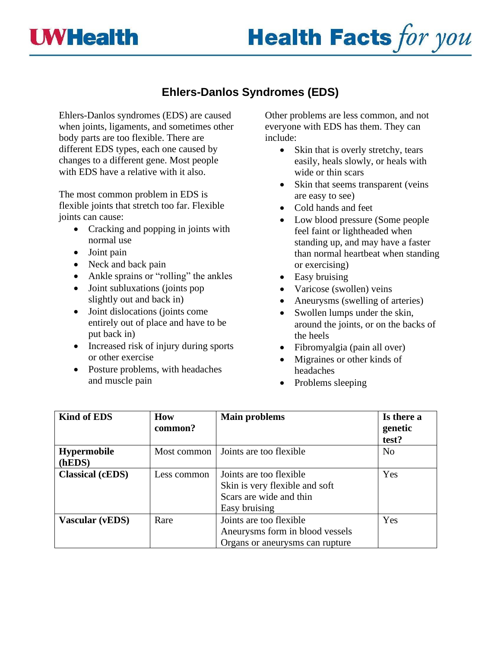



## **Ehlers-Danlos Syndromes (EDS)**

Ehlers-Danlos syndromes (EDS) are caused when joints, ligaments, and sometimes other body parts are too flexible. There are different EDS types, each one caused by changes to a different gene. Most people with EDS have a relative with it also.

The most common problem in EDS is flexible joints that stretch too far. Flexible joints can cause:

- Cracking and popping in joints with normal use
- Joint pain
- Neck and back pain
- Ankle sprains or "rolling" the ankles
- Joint subluxations (joints pop slightly out and back in)
- Joint dislocations (joints come entirely out of place and have to be put back in)
- Increased risk of injury during sports or other exercise
- Posture problems, with headaches and muscle pain

Other problems are less common, and not everyone with EDS has them. They can include:

- Skin that is overly stretchy, tears easily, heals slowly, or heals with wide or thin scars
- Skin that seems transparent (veins are easy to see)
- Cold hands and feet
- Low blood pressure (Some people feel faint or lightheaded when standing up, and may have a faster than normal heartbeat when standing or exercising)
- Easy bruising
- Varicose (swollen) veins
- Aneurysms (swelling of arteries)
- Swollen lumps under the skin, around the joints, or on the backs of the heels
- Fibromyalgia (pain all over)
- Migraines or other kinds of headaches
- Problems sleeping

| <b>Kind of EDS</b>      | How         | <b>Main problems</b>            | Is there a     |
|-------------------------|-------------|---------------------------------|----------------|
|                         | common?     |                                 | genetic        |
|                         |             |                                 | test?          |
| <b>Hypermobile</b>      | Most common | Joints are too flexible         | N <sub>0</sub> |
| (hEDS)                  |             |                                 |                |
| <b>Classical (cEDS)</b> | Less common | Joints are too flexible         | Yes            |
|                         |             | Skin is very flexible and soft  |                |
|                         |             | Scars are wide and thin         |                |
|                         |             | Easy bruising                   |                |
| <b>Vascular (vEDS)</b>  | Rare        | Joints are too flexible         | Yes            |
|                         |             | Aneurysms form in blood vessels |                |
|                         |             | Organs or aneurysms can rupture |                |